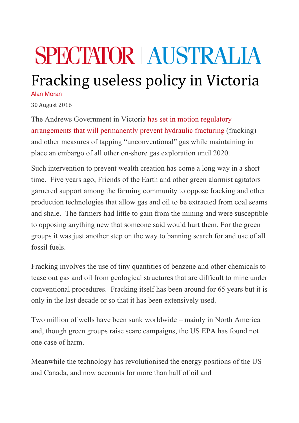## **SPECTATOR | AUSTRALIA**

## Fracking useless policy in Victoria

Alan Moran

30 August 2016

The Andrews Government in Victoria has set in motion regulatory arrangements that will permanently prevent hydraulic fracturing (fracking) and other measures of tapping "unconventional" gas while maintaining in place an embargo of all other on-shore gas exploration until 2020.

Such intervention to prevent wealth creation has come a long way in a short time. Five years ago, Friends of the Earth and other green alarmist agitators garnered support among the farming community to oppose fracking and other production technologies that allow gas and oil to be extracted from coal seams and shale. The farmers had little to gain from the mining and were susceptible to opposing anything new that someone said would hurt them. For the green groups it was just another step on the way to banning search for and use of all fossil fuels.

Fracking involves the use of tiny quantities of benzene and other chemicals to tease out gas and oil from geological structures that are difficult to mine under conventional procedures. Fracking itself has been around for 65 years but it is only in the last decade or so that it has been extensively used.

Two million of wells have been sunk worldwide – mainly in North America and, though green groups raise scare campaigns, the US EPA has found not one case of harm.

Meanwhile the technology has revolutionised the energy positions of the US and Canada, and now accounts for more than half of oil and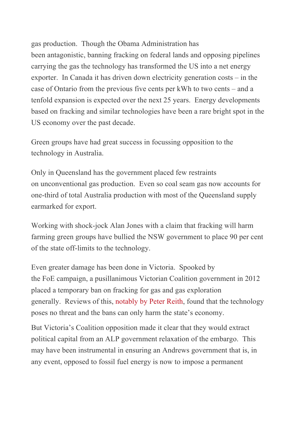gas production. Though the Obama Administration has been antagonistic, banning fracking on federal lands and opposing pipelines carrying the gas the technology has transformed the US into a net energy exporter. In Canada it has driven down electricity generation costs – in the case of Ontario from the previous five cents per kWh to two cents – and a tenfold expansion is expected over the next 25 years. Energy developments based on fracking and similar technologies have been a rare bright spot in the US economy over the past decade.

Green groups have had great success in focussing opposition to the technology in Australia.

Only in Queensland has the government placed few restraints on unconventional gas production. Even so coal seam gas now accounts for one-third of total Australia production with most of the Queensland supply earmarked for export.

Working with shock-jock Alan Jones with a claim that fracking will harm farming green groups have bullied the NSW government to place 90 per cent of the state off-limits to the technology.

Even greater damage has been done in Victoria. Spooked by the FoE campaign, a pusillanimous Victorian Coalition government in 2012 placed a temporary ban on fracking for gas and gas exploration generally. Reviews of this, notably by Peter Reith, found that the technology poses no threat and the bans can only harm the state's economy.

But Victoria's Coalition opposition made it clear that they would extract political capital from an ALP government relaxation of the embargo. This may have been instrumental in ensuring an Andrews government that is, in any event, opposed to fossil fuel energy is now to impose a permanent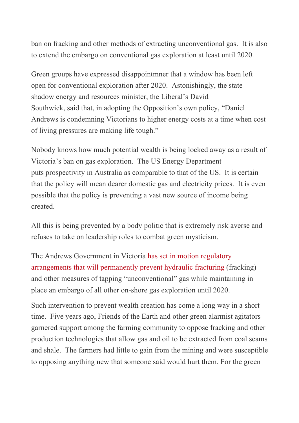ban on fracking and other methods of extracting unconventional gas. It is also to extend the embargo on conventional gas exploration at least until 2020.

Green groups have expressed disappointmner that a window has been left open for conventional exploration after 2020. Astonishingly, the state shadow energy and resources minister, the Liberal's David Southwick, said that, in adopting the Opposition's own policy, "Daniel Andrews is condemning Victorians to higher energy costs at a time when cost of living pressures are making life tough."

Nobody knows how much potential wealth is being locked away as a result of Victoria's ban on gas exploration. The US Energy Department puts prospectivity in Australia as comparable to that of the US. It is certain that the policy will mean dearer domestic gas and electricity prices. It is even possible that the policy is preventing a vast new source of income being created.

All this is being prevented by a body politic that is extremely risk averse and refuses to take on leadership roles to combat green mysticism.

The Andrews Government in Victoria has set in motion regulatory arrangements that will permanently prevent hydraulic fracturing (fracking) and other measures of tapping "unconventional" gas while maintaining in place an embargo of all other on-shore gas exploration until 2020.

Such intervention to prevent wealth creation has come a long way in a short time. Five years ago, Friends of the Earth and other green alarmist agitators garnered support among the farming community to oppose fracking and other production technologies that allow gas and oil to be extracted from coal seams and shale. The farmers had little to gain from the mining and were susceptible to opposing anything new that someone said would hurt them. For the green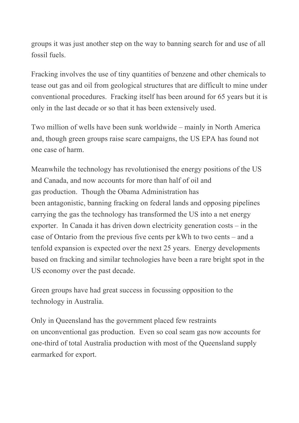groups it was just another step on the way to banning search for and use of all fossil fuels.

Fracking involves the use of tiny quantities of benzene and other chemicals to tease out gas and oil from geological structures that are difficult to mine under conventional procedures. Fracking itself has been around for 65 years but it is only in the last decade or so that it has been extensively used.

Two million of wells have been sunk worldwide – mainly in North America and, though green groups raise scare campaigns, the US EPA has found not one case of harm.

Meanwhile the technology has revolutionised the energy positions of the US and Canada, and now accounts for more than half of oil and gas production. Though the Obama Administration has been antagonistic, banning fracking on federal lands and opposing pipelines carrying the gas the technology has transformed the US into a net energy exporter. In Canada it has driven down electricity generation costs – in the case of Ontario from the previous five cents per kWh to two cents – and a tenfold expansion is expected over the next 25 years. Energy developments based on fracking and similar technologies have been a rare bright spot in the US economy over the past decade.

Green groups have had great success in focussing opposition to the technology in Australia.

Only in Queensland has the government placed few restraints on unconventional gas production. Even so coal seam gas now accounts for one-third of total Australia production with most of the Queensland supply earmarked for export.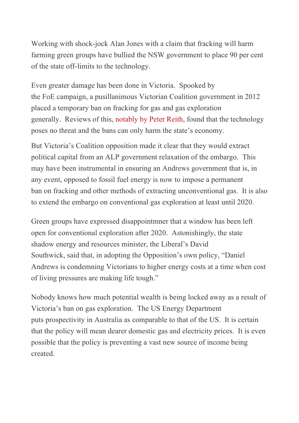Working with shock-jock Alan Jones with a claim that fracking will harm farming green groups have bullied the NSW government to place 90 per cent of the state off-limits to the technology.

Even greater damage has been done in Victoria. Spooked by the FoE campaign, a pusillanimous Victorian Coalition government in 2012 placed a temporary ban on fracking for gas and gas exploration generally. Reviews of this, notably by Peter Reith, found that the technology poses no threat and the bans can only harm the state's economy.

But Victoria's Coalition opposition made it clear that they would extract political capital from an ALP government relaxation of the embargo. This may have been instrumental in ensuring an Andrews government that is, in any event, opposed to fossil fuel energy is now to impose a permanent ban on fracking and other methods of extracting unconventional gas. It is also to extend the embargo on conventional gas exploration at least until 2020.

Green groups have expressed disappointmner that a window has been left open for conventional exploration after 2020. Astonishingly, the state shadow energy and resources minister, the Liberal's David Southwick, said that, in adopting the Opposition's own policy, "Daniel Andrews is condemning Victorians to higher energy costs at a time when cost of living pressures are making life tough."

Nobody knows how much potential wealth is being locked away as a result of Victoria's ban on gas exploration. The US Energy Department puts prospectivity in Australia as comparable to that of the US. It is certain that the policy will mean dearer domestic gas and electricity prices. It is even possible that the policy is preventing a vast new source of income being created.